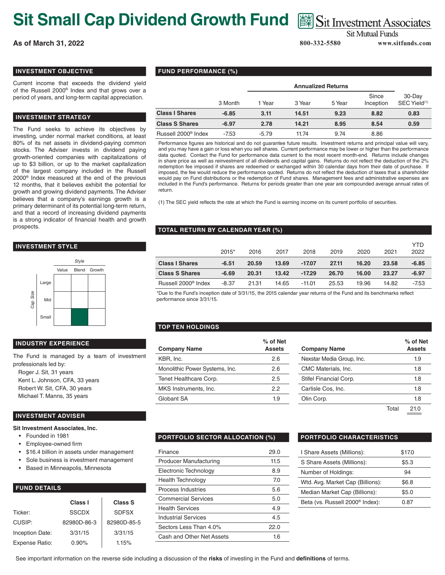# **Sit Small Cap Dividend Growth Fund**  $\text{ }$   $\text{ }$   $\text{ }$   $\text{ }$   $\text{ }$   $\text{ }$   $\text{ }$   $\text{ }$   $\text{ }$   $\text{ }$   $\text{ }$   $\text{ }$   $\text{ }$   $\text{ }$   $\text{ }$   $\text{ }$   $\text{ }$   $\text{ }$   $\text{ }$   $\text{ }$   $\text{ }$   $\text{ }$   $\text{ }$   $\text{ }$   $\text{ }$   $\text{ }$   $\$

**As of March 31, 2022 800-332-5580 www.sitfunds.com**

**Sit Mutual Funds** 

## **INVESTMENT OBJECTIVE**

Current income that exceeds the dividend yield of the Russell 2000® Index and that grows over a period of years, and long-term capital appreciation.

#### **INVESTMENT STRATEGY**

The Fund seeks to achieve its objectives by investing, under normal market conditions, at least 80% of its net assets in dividend-paying common stocks. The Adviser invests in dividend paying growth-oriented companies with capitalizations of up to \$3 billion, or up to the market capitalization of the largest company included in the Russell 2000® Index measured at the end of the previous 12 months, that it believes exhibit the potential for growth and growing dividend payments. The Adviser believes that a company's earnings growth is a primary determinant of its potential long-term return, and that a record of increasing dividend payments is a strong indicator of financial health and growth prospects.

## **INVESTMENT STYLE**



# **INDUSTRY EXPERIENCE**

The Fund is managed by a team of investment professionals led by: Roger J. Sit, 31 years

Kent L. Johnson, CFA, 33 years Robert W. Sit, CFA, 30 years Michael T. Manns, 35 years

#### **INVESTMENT ADVISER**

**Sit Investment Associates, Inc.**

- Founded in 1981
- Employee-owned firm
- \$16.4 billion in assets under management
- Sole business is investment management
- Based in Minneapolis, Minnesota

### **FUND DETAILS**

|                        | Class I      | <b>Class S</b> |
|------------------------|--------------|----------------|
| Ticker:                | <b>SSCDX</b> | <b>SDFSX</b>   |
| CUSIP:                 | 82980D-86-3  | 82980D-85-5    |
| <b>Inception Date:</b> | 3/31/15      | 3/31/15        |
| Expense Ratio:         | $0.90\%$     | 1.15%          |

### **FUND PERFORMANCE (%)**

|                                 |         | <b>Annualized Returns</b> |        |        |                    |                                    |
|---------------------------------|---------|---------------------------|--------|--------|--------------------|------------------------------------|
|                                 | 3 Month | 1 Year                    | 3 Year | 5 Year | Since<br>Inception | 30-Day<br>SEC Yield <sup>(1)</sup> |
| <b>Class I Shares</b>           | $-6.85$ | 3.11                      | 14.51  | 9.23   | 8.82               | 0.83                               |
| <b>Class S Shares</b>           | $-6.97$ | 2.78                      | 14.21  | 8.95   | 8.54               | 0.59                               |
| Russell 2000 <sup>®</sup> Index | $-7.53$ | $-5.79$                   | 11.74  | 9.74   | 8.86               |                                    |

Performance figures are historical and do not guarantee future results. Investment returns and principal value will vary, and you may have a gain or loss when you sell shares. Current performance may be lower or higher than the performance data quoted. Contact the Fund for performance data current to the most recent month-end. Returns include changes in share price as well as reinvestment of all dividends and capital gains. Returns do not reflect the deduction of the 2% redemption fee imposed if shares are redeemed or exchanged within 30 calendar days from their date of purchase. If imposed, the fee would reduce the performance quoted. Returns do not reflect the deduction of taxes that a shareholder would pay on Fund distributions or the redemption of Fund shares. Management fees and administrative expenses are included in the Fund's performance. Returns for periods greater than one year are compounded average annual rates of return.

(1) The SEC yield reflects the rate at which the Fund is earning income on its current portfolio of securities.

### **TOTAL RETURN BY CALENDAR YEAR (%)**

|                                 | $2015*$ | 2016  | 2017  | 2018     | 2019  | 2020  | 2021  | YTD.<br>2022 |
|---------------------------------|---------|-------|-------|----------|-------|-------|-------|--------------|
| <b>Class I Shares</b>           | $-6.51$ | 20.59 | 13.69 | $-17.07$ | 27.11 | 16.20 | 23.58 | -6.85        |
| <b>Class S Shares</b>           | $-6.69$ | 20.31 | 13.42 | $-17.29$ | 26.70 | 16.00 | 23.27 | $-6.97$      |
| Russell 2000 <sup>®</sup> Index | $-8.37$ | 21.31 | 14.65 | -11.01   | 25.53 | 19.96 | 14.82 | -7.53        |

\*Due to the Fund's inception date of 3/31/15, the 2015 calendar year returns of the Fund and its benchmarks reflect performance since 3/31/15.

### **TOP TEN HOLDINGS**

| % of Net      |                           | $%$ of $\mathsf{N}$ |
|---------------|---------------------------|---------------------|
| <b>Assets</b> | <b>Company Name</b>       | Asse                |
| 2.6           | Nexstar Media Group, Inc. | 1.9                 |
| 2.6           | CMC Materials, Inc.       | 1.8                 |
| 2.5           | Stifel Financial Corp.    | 1.8                 |
| 2.2           | Carlisle Cos, Inc.        | 1.8                 |
| 1.9           | Olin Corp.                | 1.8                 |
|               |                           |                     |

| ∕∘ of Net<br>Assets | <b>Company Name</b>       |       | % of Net<br><b>Assets</b> |
|---------------------|---------------------------|-------|---------------------------|
| 2.6                 | Nexstar Media Group, Inc. |       | 1.9                       |
| 2.6                 | CMC Materials, Inc.       |       | 1.8                       |
| 2.5                 | Stifel Financial Corp.    |       | 1.8                       |
| 2.2                 | Carlisle Cos, Inc.        |       | 1.8                       |
| 1.9                 | Olin Corp.                |       | 1.8                       |
|                     |                           | Total | 21.0                      |

### **PORTFOLIO SECTOR ALLOCATION (%) PORTFOLIO CHARACTERISTICS**

| Finance                    | 29.0 |
|----------------------------|------|
| Producer Manufacturing     | 11.5 |
| Electronic Technology      | 8.9  |
| Health Technology          | 7.0  |
| Process Industries         | 5.6  |
| <b>Commercial Services</b> | 5.0  |
| <b>Health Services</b>     | 4.9  |
| Industrial Services        | 4.5  |
| Sectors Less Than 4.0%     | 22.O |
| Cash and Other Net Assets  | 1.6  |

| I Share Assets (Millions):                  | \$17.0 |
|---------------------------------------------|--------|
| S Share Assets (Millions):                  | \$5.3  |
| Number of Holdings:                         | 94     |
| Wtd. Avg. Market Cap (Billions):            | \$6.8  |
| Median Market Cap (Billions):               | \$5.0  |
| Beta (vs. Russell 2000 <sup>®</sup> Index): | 0.87   |

See important information on the reverse side including a discussion of the **risks** of investing in the Fund and **definitions** of terms.